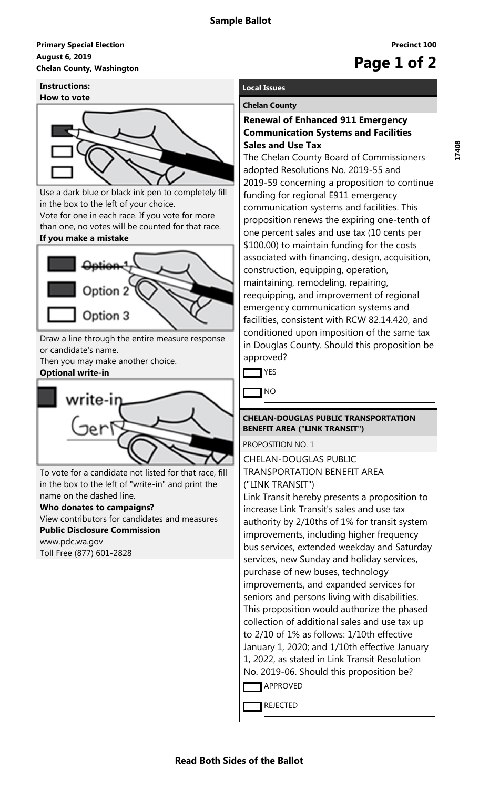### **August 6, 2019 Primary Special Election** August 6, 2019<br>Chelan County, Washington<br> **Chelan County, Washington**

# **Instructions:**



Use a dark blue or black ink pen to completely fill in the box to the left of your choice.

Vote for one in each race. If you vote for more than one, no votes will be counted for that race. **If you make a mistake**

# Option 3

Draw a line through the entire measure response or candidate's name.

Then you may make another choice. **Optional write-in**



To vote for a candidate not listed for that race, fill in the box to the left of "write-in" and print the name on the dashed line.

# **Who donates to campaigns?**

View contributors for candidates and measures **Public Disclosure Commission**

www.pdc.wa.gov Toll Free (877) 601-2828

# **Local Issues**

# **Chelan County**

# **Renewal of Enhanced 911 Emergency Communication Systems and Facilities Sales and Use Tax**

The Chelan County Board of Commissioners adopted Resolutions No. 2019-55 and 2019-59 concerning a proposition to continue funding for regional E911 emergency communication systems and facilities. This proposition renews the expiring one-tenth of one percent sales and use tax (10 cents per \$100.00) to maintain funding for the costs associated with financing, design, acquisition, construction, equipping, operation, maintaining, remodeling, repairing, reequipping, and improvement of regional emergency communication systems and facilities, consistent with RCW 82.14.420, and conditioned upon imposition of the same tax in Douglas County. Should this proposition be approved?

**TYES** 

NO

# **CHELAN-DOUGLAS PUBLIC TRANSPORTATION BENEFIT AREA ("LINK TRANSIT")**

PROPOSITION NO. 1

CHELAN-DOUGLAS PUBLIC TRANSPORTATION BENEFIT AREA ("LINK TRANSIT")

Link Transit hereby presents a proposition to increase Link Transit's sales and use tax authority by 2/10ths of 1% for transit system improvements, including higher frequency bus services, extended weekday and Saturday services, new Sunday and holiday services, purchase of new buses, technology improvements, and expanded services for seniors and persons living with disabilities. This proposition would authorize the phased collection of additional sales and use tax up to 2/10 of 1% as follows: 1/10th effective January 1, 2020; and 1/10th effective January 1, 2022, as stated in Link Transit Resolution No. 2019-06. Should this proposition be?

**APPROVED** 

REJECTED